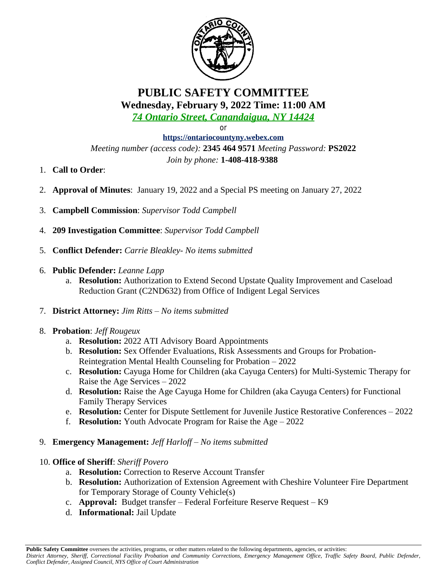

## **PUBLIC SAFETY COMMITTEE Wednesday, February 9, 2022 Time: 11:00 AM**

*74 Ontario Street, Canandaigua, NY 14424*

or

**<https://ontariocountyny.webex.com>** *Meeting number (access code):* **2345 464 9571** *Meeting Password:* **PS2022** *Join by phone:* **1-408-418-9388** 

- 1. **Call to Order**:
- 2. **Approval of Minutes**: January 19, 2022 and a Special PS meeting on January 27, 2022
- 3. **Campbell Commission**: *Supervisor Todd Campbell*
- 4. **209 Investigation Committee**: *Supervisor Todd Campbell*
- 5. **Conflict Defender:** *Carrie Bleakley- No items submitted*
- 6. **Public Defender:** *Leanne Lapp*
	- a. **Resolution:** Authorization to Extend Second Upstate Quality Improvement and Caseload Reduction Grant (C2ND632) from Office of Indigent Legal Services
- 7. **District Attorney:** *Jim Ritts – No items submitted*
- 8. **Probation**: *Jeff Rougeux*
	- a. **Resolution:** 2022 ATI Advisory Board Appointments
	- b. **Resolution:** Sex Offender Evaluations, Risk Assessments and Groups for Probation-Reintegration Mental Health Counseling for Probation – 2022
	- c. **Resolution:** Cayuga Home for Children (aka Cayuga Centers) for Multi-Systemic Therapy for Raise the Age Services – 2022
	- d. **Resolution:** Raise the Age Cayuga Home for Children (aka Cayuga Centers) for Functional Family Therapy Services
	- e. **Resolution:** Center for Dispute Settlement for Juvenile Justice Restorative Conferences 2022
	- f. **Resolution:** Youth Advocate Program for Raise the Age 2022
- 9. **Emergency Management:** *Jeff Harloff – No items submitted*
- 10. **Office of Sheriff**: *Sheriff Povero*
	- a. **Resolution:** Correction to Reserve Account Transfer
	- b. **Resolution:** Authorization of Extension Agreement with Cheshire Volunteer Fire Department for Temporary Storage of County Vehicle(s)
	- c. **Approval:** Budget transfer Federal Forfeiture Reserve Request K9
	- d. **Informational:** Jail Update